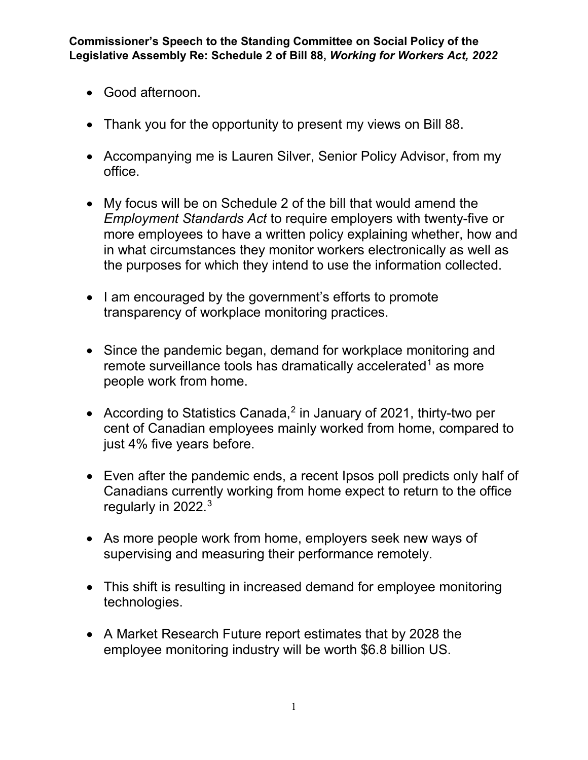- Good afternoon.
- Thank you for the opportunity to present my views on Bill 88.
- Accompanying me is Lauren Silver, Senior Policy Advisor, from my office.
- My focus will be on Schedule 2 of the bill that would amend the *Employment Standards Act* to require employers with twenty-five or more employees to have a written policy explaining whether, how and in what circumstances they monitor workers electronically as well as the purposes for which they intend to use the information collected.
- I am encouraged by the government's efforts to promote transparency of workplace monitoring practices.
- Since the pandemic began, demand for workplace monitoring and remote surveillance tools has dramatically accelerated<sup>[1](#page-4-0)</sup> as more people work from home.
- According to Statistics Canada,<sup>[2](#page-4-1)</sup> in January of 2021, thirty-two per cent of Canadian employees mainly worked from home, compared to just 4% five years before.
- Even after the pandemic ends, a recent Ipsos poll predicts only half of Canadians currently working from home expect to return to the office regularly in 2022.<sup>[3](#page-4-2)</sup>
- As more people work from home, employers seek new ways of supervising and measuring their performance remotely.
- This shift is resulting in increased demand for employee monitoring technologies.
- A Market Research Future report estimates that by 2028 the employee monitoring industry will be worth \$6.8 billion US.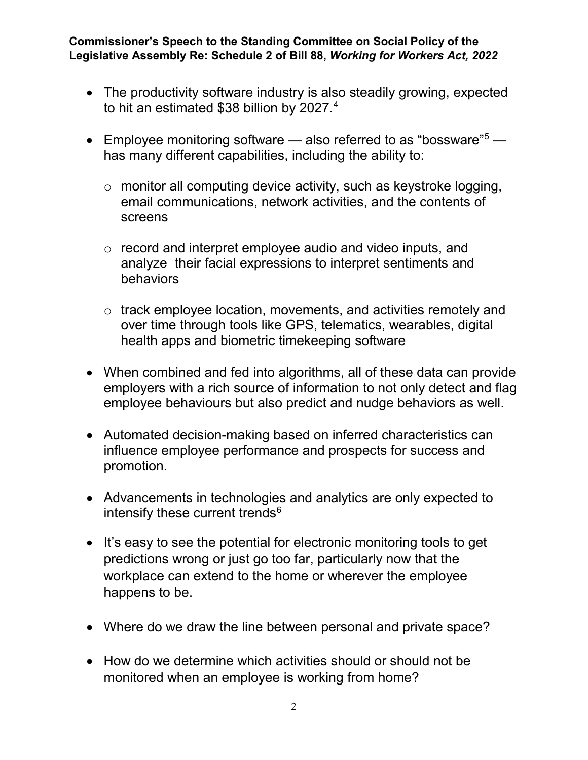- The productivity software industry is also steadily growing, expected to hit an estimated \$38 billion by 2027.<sup>[4](#page-4-3)</sup>
- Employee monitoring software  $-$  also referred to as "bossware"<sup>5</sup>  $$ has many different capabilities, including the ability to:
	- $\circ$  monitor all computing device activity, such as keystroke logging, email communications, network activities, and the contents of screens
	- o record and interpret employee audio and video inputs, and analyze their facial expressions to interpret sentiments and behaviors
	- o track employee location, movements, and activities remotely and over time through tools like GPS, telematics, wearables, digital health apps and biometric timekeeping software
- When combined and fed into algorithms, all of these data can provide employers with a rich source of information to not only detect and flag employee behaviours but also predict and nudge behaviors as well.
- Automated decision-making based on inferred characteristics can influence employee performance and prospects for success and promotion.
- Advancements in technologies and analytics are only expected to intensify these current trends $6$
- It's easy to see the potential for electronic monitoring tools to get predictions wrong or just go too far, particularly now that the workplace can extend to the home or wherever the employee happens to be.
- Where do we draw the line between personal and private space?
- How do we determine which activities should or should not be monitored when an employee is working from home?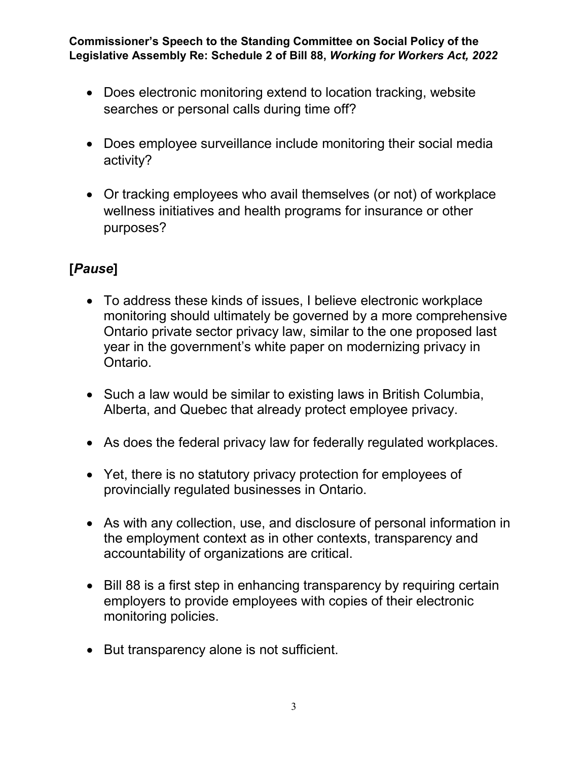- Does electronic monitoring extend to location tracking, website searches or personal calls during time off?
- Does employee surveillance include monitoring their social media activity?
- Or tracking employees who avail themselves (or not) of workplace wellness initiatives and health programs for insurance or other purposes?

## **[***Pause***]**

- To address these kinds of issues, I believe electronic workplace monitoring should ultimately be governed by a more comprehensive Ontario private sector privacy law, similar to the one proposed last year in the government's white paper on modernizing privacy in Ontario.
- Such a law would be similar to existing laws in British Columbia, Alberta, and Quebec that already protect employee privacy.
- As does the federal privacy law for federally regulated workplaces.
- Yet, there is no statutory privacy protection for employees of provincially regulated businesses in Ontario.
- As with any collection, use, and disclosure of personal information in the employment context as in other contexts, transparency and accountability of organizations are critical.
- Bill 88 is a first step in enhancing transparency by requiring certain employers to provide employees with copies of their electronic monitoring policies.
- But transparency alone is not sufficient.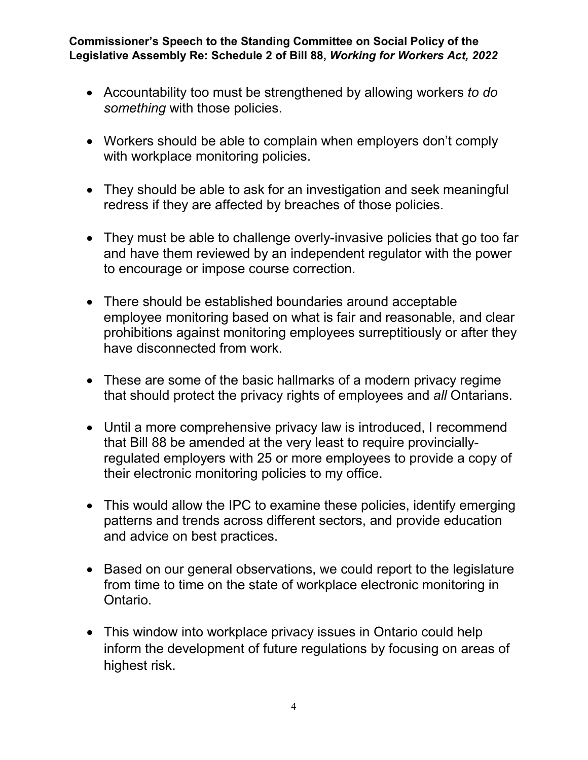- Accountability too must be strengthened by allowing workers *to do something* with those policies.
- Workers should be able to complain when employers don't comply with workplace monitoring policies.
- They should be able to ask for an investigation and seek meaningful redress if they are affected by breaches of those policies.
- They must be able to challenge overly-invasive policies that go too far and have them reviewed by an independent regulator with the power to encourage or impose course correction.
- There should be established boundaries around acceptable employee monitoring based on what is fair and reasonable, and clear prohibitions against monitoring employees surreptitiously or after they have disconnected from work.
- These are some of the basic hallmarks of a modern privacy regime that should protect the privacy rights of employees and *all* Ontarians.
- Until a more comprehensive privacy law is introduced, I recommend that Bill 88 be amended at the very least to require provinciallyregulated employers with 25 or more employees to provide a copy of their electronic monitoring policies to my office.
- This would allow the IPC to examine these policies, identify emerging patterns and trends across different sectors, and provide education and advice on best practices.
- Based on our general observations, we could report to the legislature from time to time on the state of workplace electronic monitoring in Ontario.
- This window into workplace privacy issues in Ontario could help inform the development of future regulations by focusing on areas of highest risk.